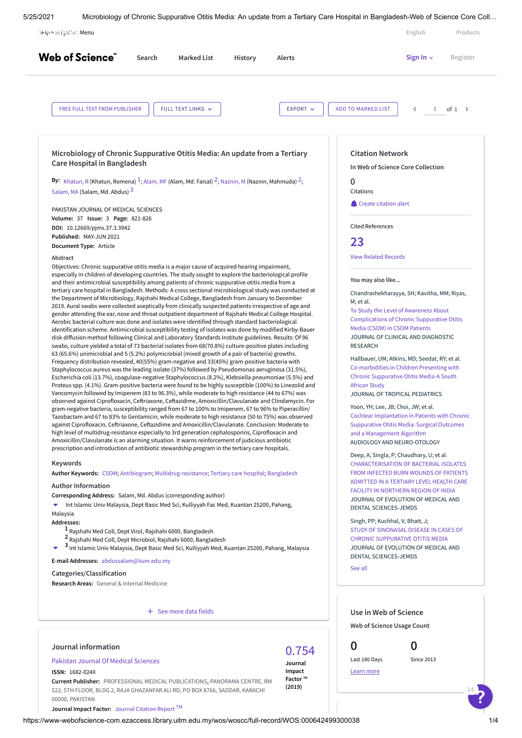5/25/2021 Microbiology of Chronic Suppurative Otitis Media: An update from a Tertiary Care Hospital in Bangladesh-Web of Science Core Coll…

| Skip wavigation Menu                                                                                                                                                                                                                                                                                                                                                                                                                                                                                                                                                                                                                                                                                                                                                                                                                                                                                                                                                                                                                                                                                                                                                                                                                                                                                                                                                                                                                                                                                                                                                                                                                                                                                                                                                                                                                                                                                                                                                                                                                                                                                                                                                                                                                                                                                                                                                                                                                                                                                                                                                                                                                                                                                                                                                                                                                                                                                                                                                                                                                                                                                                                                                                                                                                                                                                                                                                                                                                                                                                                                                                                                                                                                                                                                               |                            | English<br>Products                                                                                                                                                                                                                                                                                                                                                                                                                                                                                                                                                                                                                                                                                                                                                                                                                                                                                                                                                                                                                                                                                                                                                                                                                                                                                                                                                     |
|--------------------------------------------------------------------------------------------------------------------------------------------------------------------------------------------------------------------------------------------------------------------------------------------------------------------------------------------------------------------------------------------------------------------------------------------------------------------------------------------------------------------------------------------------------------------------------------------------------------------------------------------------------------------------------------------------------------------------------------------------------------------------------------------------------------------------------------------------------------------------------------------------------------------------------------------------------------------------------------------------------------------------------------------------------------------------------------------------------------------------------------------------------------------------------------------------------------------------------------------------------------------------------------------------------------------------------------------------------------------------------------------------------------------------------------------------------------------------------------------------------------------------------------------------------------------------------------------------------------------------------------------------------------------------------------------------------------------------------------------------------------------------------------------------------------------------------------------------------------------------------------------------------------------------------------------------------------------------------------------------------------------------------------------------------------------------------------------------------------------------------------------------------------------------------------------------------------------------------------------------------------------------------------------------------------------------------------------------------------------------------------------------------------------------------------------------------------------------------------------------------------------------------------------------------------------------------------------------------------------------------------------------------------------------------------------------------------------------------------------------------------------------------------------------------------------------------------------------------------------------------------------------------------------------------------------------------------------------------------------------------------------------------------------------------------------------------------------------------------------------------------------------------------------------------------------------------------------------------------------------------------------------------------------------------------------------------------------------------------------------------------------------------------------------------------------------------------------------------------------------------------------------------------------------------------------------------------------------------------------------------------------------------------------------------------------------------------------------------------------------------------------|----------------------------|-------------------------------------------------------------------------------------------------------------------------------------------------------------------------------------------------------------------------------------------------------------------------------------------------------------------------------------------------------------------------------------------------------------------------------------------------------------------------------------------------------------------------------------------------------------------------------------------------------------------------------------------------------------------------------------------------------------------------------------------------------------------------------------------------------------------------------------------------------------------------------------------------------------------------------------------------------------------------------------------------------------------------------------------------------------------------------------------------------------------------------------------------------------------------------------------------------------------------------------------------------------------------------------------------------------------------------------------------------------------------|
| <b>Web of Science</b> "<br>Search<br><b>Marked List</b><br>History                                                                                                                                                                                                                                                                                                                                                                                                                                                                                                                                                                                                                                                                                                                                                                                                                                                                                                                                                                                                                                                                                                                                                                                                                                                                                                                                                                                                                                                                                                                                                                                                                                                                                                                                                                                                                                                                                                                                                                                                                                                                                                                                                                                                                                                                                                                                                                                                                                                                                                                                                                                                                                                                                                                                                                                                                                                                                                                                                                                                                                                                                                                                                                                                                                                                                                                                                                                                                                                                                                                                                                                                                                                                                                 | Alerts                     | Sign In $\sim$<br>Register                                                                                                                                                                                                                                                                                                                                                                                                                                                                                                                                                                                                                                                                                                                                                                                                                                                                                                                                                                                                                                                                                                                                                                                                                                                                                                                                              |
| FULL TEXT LINKS V<br><b>FREE FULL TEXT FROM PUBLISHER</b>                                                                                                                                                                                                                                                                                                                                                                                                                                                                                                                                                                                                                                                                                                                                                                                                                                                                                                                                                                                                                                                                                                                                                                                                                                                                                                                                                                                                                                                                                                                                                                                                                                                                                                                                                                                                                                                                                                                                                                                                                                                                                                                                                                                                                                                                                                                                                                                                                                                                                                                                                                                                                                                                                                                                                                                                                                                                                                                                                                                                                                                                                                                                                                                                                                                                                                                                                                                                                                                                                                                                                                                                                                                                                                          | EXPORT V                   | <b>ADD TO MARKED LIST</b><br>of $1 \rightarrow$<br>≺<br>$\mathbf{1}$                                                                                                                                                                                                                                                                                                                                                                                                                                                                                                                                                                                                                                                                                                                                                                                                                                                                                                                                                                                                                                                                                                                                                                                                                                                                                                    |
| Microbiology of Chronic Suppurative Otitis Media: An update from a Tertiary<br><b>Care Hospital in Bangladesh</b><br>By: Khatun, R (Khatun, Romena) <sup>1</sup> ; Alam, MF (Alam, Md. Faisal) <sup>2</sup> ; Naznin, M (Naznin, Mahmuda) <sup>2</sup> ;<br>Salam, MA (Salam, Md. Abdus) 3<br>PAKISTAN JOURNAL OF MEDICAL SCIENCES<br>Volume: 37 Issue: 3 Page: 821-826<br>DOI: 10.12669/pjms.37.3.3942<br>Published: MAY-JUN 2021<br>Document Type: Article<br>Abstract<br>Objectives: Chronic suppurative otitis media is a major cause of acquired hearing impairment,<br>especially in children of developing countries. The study sought to explore the bacteriological profile<br>and their antimicrobial susceptibility among patients of chronic suppurative otitis media from a<br>tertiary care hospital in Bangladesh. Methods: A cross sectional microbiological study was conducted at<br>the Department of Microbiology, Rajshahi Medical College, Bangladesh from January to December<br>2019. Aural swabs were collected aseptically from clinically suspected patients irrespective of age and<br>gender attending the ear, nose and throat outpatient department of Rajshahi Medical College Hospital.<br>Aerobic bacterial culture was done and isolates were identified through standard bacteriological<br>identification scheme. Antimicrobial susceptibility testing of isolates was done by modified Kirby-Bauer<br>disk diffusion method following Clinical and Laboratory Standards Institute guidelines. Results: Of 96<br>swabs, culture yielded a total of 73 bacterial isolates from 68(70.8%) culture-positive plates including<br>63 (65.6%) unimicrobial and 5 (5.2%) polymicrobial (mixed growth of a pair of bacteria) growths.<br>Frequency distribution revealed, 40(55%) gram-negative and 33(45%) gram-positive bacteria with<br>Staphylococcus aureus was the leading isolate (37%) followed by Pseudomonas aeruginosa (31.5%),<br>Escherichia coli (13.7%), coagulase-negative Staphylococcus (8.2%), Klebsiella pneumoniae (5.5%) and<br>Proteus spp. (4.1%). Gram-positive bacteria were found to be highly susceptible (100%) to Linezolid and<br>Vancomycin followed by Imipenem (83 to 96.3%), while moderate to high resistance (44 to 67%) was<br>observed against Ciprofloxacin, Ceftriaxone, Ceftazidime, Amoxicillin/Clavulanate and Clindamycin. For<br>gram-negative bacteria, susceptibility ranged from 67 to 100% to Imipenem, 67 to 96% to Piperacillin/<br>Tazobactam and 67 to 83% to Gentamicin, while moderate to high resistance (50 to 75%) was observed<br>against Ciprofloxacin, Ceftriaxone, Ceftazidime and Amoxicillin/Clavulanate. Conclusion: Moderate to<br>high level of multidrug-resistance especially to 3rd generation cephalosporins, Ciprofloxacin and<br>Amoxicillin/Clavulanate is an alarming situation. It warns reinforcement of judicious antibiotic<br>prescription and introduction of antibiotic stewardship program in the tertiary care hospitals.<br>Keywords<br>Author Keywords: CSOM; Antibiogram; Multidrug-resistance; Tertiary care hospital; Bangladesh<br><b>Author Information</b><br>Corresponding Address: Salam, Md. Abdus (corresponding author)<br>Int Islamic Univ Malaysia, Dept Basic Med Sci, Kulliyyah Fac Med, Kuantan 25200, Pahang,<br>▼<br>Malaysia<br>Addresses:<br><sup>1</sup> Rajshahi Med Coll, Dept Virol, Rajshahi 6000, Bangladesh<br><sup>2</sup> Rajshahi Med Coll, Dept Microbiol, Rajshahi 6000, Bangladesh<br>3 Int Islamic Univ Malaysia, Dept Basic Med Sci, Kulliyyah Med, Kuantan 25200, Pahang, Malaysia<br>E-mail Addresses: abdussalam@iium.edu.my<br>Categories/Classification<br>Research Areas: General & Internal Medicine |                            | <b>Citation Network</b><br>In Web of Science Core Collection<br>0<br>Citations<br>Create citation alert<br><b>Cited References</b><br>23<br><b>View Related Records</b><br>You may also like<br>Chandrashekharayya, SH; Kavitha, MM; Riyas,<br>M; et al.<br>To Study the Level of Awareness About<br><b>Complications of Chronic Suppurative Otitis</b><br>Media (CSOM) in CSOM Patients<br>JOURNAL OF CLINICAL AND DIAGNOSTIC<br><b>RESEARCH</b><br>Hallbauer, UM; Atkins, MD; Seedat, RY; et al.<br>Co-morbidities in Children Presenting with<br>Chronic Suppurative Otitis Media-A South<br><b>African Study</b><br>JOURNAL OF TROPICAL PEDIATRICS<br>Yoon, YH; Lee, JB; Choi, JW; et al.<br>Cochlear Implantation in Patients with Chronic<br><b>Suppurative Otitis Media: Surgical Outcomes</b><br>and a Management Algorithm<br>AUDIOLOGY AND NEURO-OTOLOGY<br>Deep, A; Singla, P; Chaudhary, U; et al.<br><b>CHARACTERISATION OF BACTERIAL ISOLATES</b><br>FROM INFECTED BURN WOUNDS OF PATIENTS<br>ADMITTED IN A TERTIARY LEVEL HEALTH CARE<br>FACILITY IN NORTHERN REGION OF INDIA<br>JOURNAL OF EVOLUTION OF MEDICAL AND<br><b>DENTAL SCIENCES-JEMDS</b><br>Singh, PP; Kuchhal, V; Bhatt, J;<br>STUDY OF SINONASAL DISEASE IN CASES OF<br><b>CHRONIC SUPPURATIVE OTITIS MEDIA</b><br>JOURNAL OF EVOLUTION OF MEDICAL AND<br>DENTAL SCIENCES-JEMDS<br>See all |
| $+$ See more data fields                                                                                                                                                                                                                                                                                                                                                                                                                                                                                                                                                                                                                                                                                                                                                                                                                                                                                                                                                                                                                                                                                                                                                                                                                                                                                                                                                                                                                                                                                                                                                                                                                                                                                                                                                                                                                                                                                                                                                                                                                                                                                                                                                                                                                                                                                                                                                                                                                                                                                                                                                                                                                                                                                                                                                                                                                                                                                                                                                                                                                                                                                                                                                                                                                                                                                                                                                                                                                                                                                                                                                                                                                                                                                                                                           |                            | Use in Web of Science                                                                                                                                                                                                                                                                                                                                                                                                                                                                                                                                                                                                                                                                                                                                                                                                                                                                                                                                                                                                                                                                                                                                                                                                                                                                                                                                                   |
|                                                                                                                                                                                                                                                                                                                                                                                                                                                                                                                                                                                                                                                                                                                                                                                                                                                                                                                                                                                                                                                                                                                                                                                                                                                                                                                                                                                                                                                                                                                                                                                                                                                                                                                                                                                                                                                                                                                                                                                                                                                                                                                                                                                                                                                                                                                                                                                                                                                                                                                                                                                                                                                                                                                                                                                                                                                                                                                                                                                                                                                                                                                                                                                                                                                                                                                                                                                                                                                                                                                                                                                                                                                                                                                                                                    |                            | Web of Science Usage Count                                                                                                                                                                                                                                                                                                                                                                                                                                                                                                                                                                                                                                                                                                                                                                                                                                                                                                                                                                                                                                                                                                                                                                                                                                                                                                                                              |
| Journal information<br><b>Pakistan Journal Of Medical Sciences</b><br>ISSN: 1682-024X                                                                                                                                                                                                                                                                                                                                                                                                                                                                                                                                                                                                                                                                                                                                                                                                                                                                                                                                                                                                                                                                                                                                                                                                                                                                                                                                                                                                                                                                                                                                                                                                                                                                                                                                                                                                                                                                                                                                                                                                                                                                                                                                                                                                                                                                                                                                                                                                                                                                                                                                                                                                                                                                                                                                                                                                                                                                                                                                                                                                                                                                                                                                                                                                                                                                                                                                                                                                                                                                                                                                                                                                                                                                              | 0.754<br>Journal<br>Impact | 0<br>0<br>Last 180 Days<br><b>Since 2013</b><br>Learn more                                                                                                                                                                                                                                                                                                                                                                                                                                                                                                                                                                                                                                                                                                                                                                                                                                                                                                                                                                                                                                                                                                                                                                                                                                                                                                              |
| <b>Current Publisher:</b> PROFESSIONAL MEDICAL PUBLICATIONS, PANORAMA CENTRE, RM<br>522, 5TH FLOOR, BLDG 2, RAJA GHAZANFAR ALI RD, PO BOX 8766, SADDAR, KARACHI<br>00000, PAKISTAN                                                                                                                                                                                                                                                                                                                                                                                                                                                                                                                                                                                                                                                                                                                                                                                                                                                                                                                                                                                                                                                                                                                                                                                                                                                                                                                                                                                                                                                                                                                                                                                                                                                                                                                                                                                                                                                                                                                                                                                                                                                                                                                                                                                                                                                                                                                                                                                                                                                                                                                                                                                                                                                                                                                                                                                                                                                                                                                                                                                                                                                                                                                                                                                                                                                                                                                                                                                                                                                                                                                                                                                 | Factor™<br>(2019)          |                                                                                                                                                                                                                                                                                                                                                                                                                                                                                                                                                                                                                                                                                                                                                                                                                                                                                                                                                                                                                                                                                                                                                                                                                                                                                                                                                                         |

**Journal Impact Factor:** Journal [Citation](http://gateway.webofknowledge.com/gateway/Gateway.cgi?GWVersion=2&SrcAuth=IC2JCR&SrcApp=WOS&KeyISSN=1682-024X&DestApp=IC2JCR&UsrSteamSID=&SrcAppSID=C6rrrQeEjGEC136HdCz&SrcJTitle=PAKISTAN+JOURNAL+OF+MEDICAL+SCIENCES) Report TM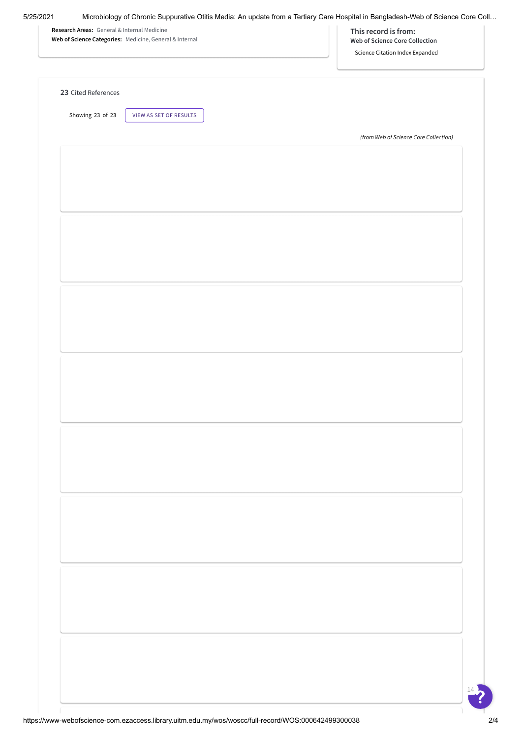| Research Areas: General & Internal Medicine<br>Web of Science Categories: Medicine, General & Internal | This record is from:<br>Web of Science Core Collection |  |  |
|--------------------------------------------------------------------------------------------------------|--------------------------------------------------------|--|--|
|                                                                                                        | Science Citation Index Expanded                        |  |  |
| 23 Cited References                                                                                    |                                                        |  |  |
| Showing 23 of 23<br>VIEW AS SET OF RESULTS                                                             |                                                        |  |  |
|                                                                                                        | (from Web of Science Core Collection)                  |  |  |
|                                                                                                        |                                                        |  |  |
|                                                                                                        |                                                        |  |  |
|                                                                                                        |                                                        |  |  |
|                                                                                                        |                                                        |  |  |
|                                                                                                        |                                                        |  |  |
|                                                                                                        |                                                        |  |  |
|                                                                                                        |                                                        |  |  |
|                                                                                                        |                                                        |  |  |
|                                                                                                        |                                                        |  |  |
|                                                                                                        |                                                        |  |  |
|                                                                                                        |                                                        |  |  |
|                                                                                                        |                                                        |  |  |
|                                                                                                        |                                                        |  |  |
|                                                                                                        |                                                        |  |  |
|                                                                                                        |                                                        |  |  |
|                                                                                                        |                                                        |  |  |
|                                                                                                        |                                                        |  |  |
|                                                                                                        |                                                        |  |  |
|                                                                                                        |                                                        |  |  |
|                                                                                                        |                                                        |  |  |
|                                                                                                        |                                                        |  |  |
|                                                                                                        |                                                        |  |  |
|                                                                                                        |                                                        |  |  |
|                                                                                                        |                                                        |  |  |
|                                                                                                        |                                                        |  |  |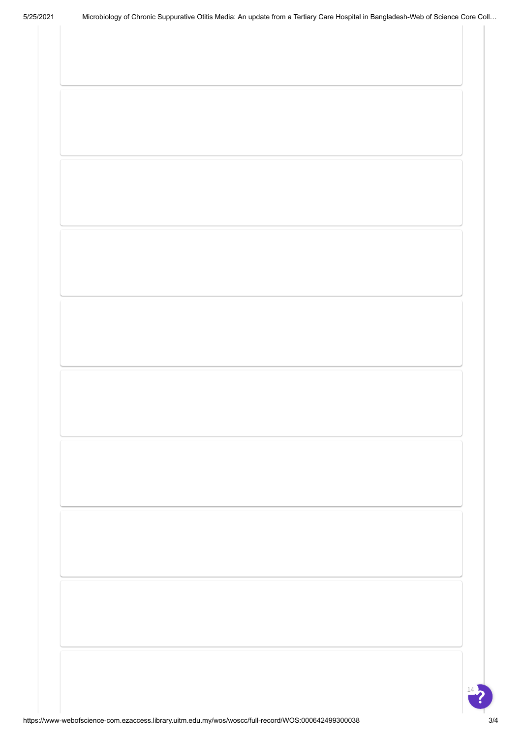| 14 |
|----|